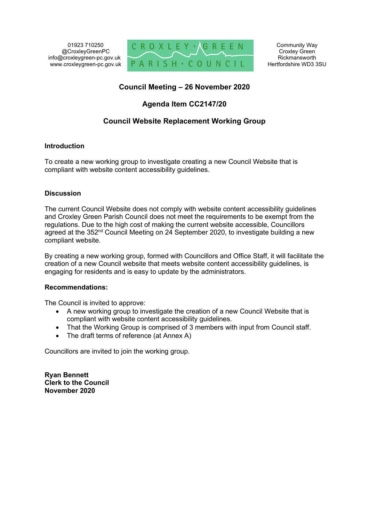01923 710250 @CroxleyGreenPC info@croxleygreen-pc.gov.uk www.croxleygreen-pc.gov.uk



Community Way Croxley Green Rickmansworth Hertfordshire WD3 3SU

# **Council Meeting – 26 November 2020**

# **Agenda Item CC2147/20**

# **Council Website Replacement Working Group**

# **Introduction**

To create a new working group to investigate creating a new Council Website that is compliant with website content accessibility guidelines.

# **Discussion**

The current Council Website does not comply with website content accessibility guidelines and Croxley Green Parish Council does not meet the requirements to be exempt from the regulations. Due to the high cost of making the current website accessible, Councillors agreed at the 352<sup>nd</sup> Council Meeting on 24 September 2020, to investigate building a new compliant website.

By creating a new working group, formed with Councillors and Office Staff, it will facilitate the creation of a new Council website that meets website content accessibility guidelines, is engaging for residents and is easy to update by the administrators.

# **Recommendations:**

The Council is invited to approve:

- A new working group to investigate the creation of a new Council Website that is compliant with website content accessibility guidelines.
- That the Working Group is comprised of 3 members with input from Council staff.
- The draft terms of reference (at Annex A)

Councillors are invited to join the working group.

**Ryan Bennett Clerk to the Council November 2020**